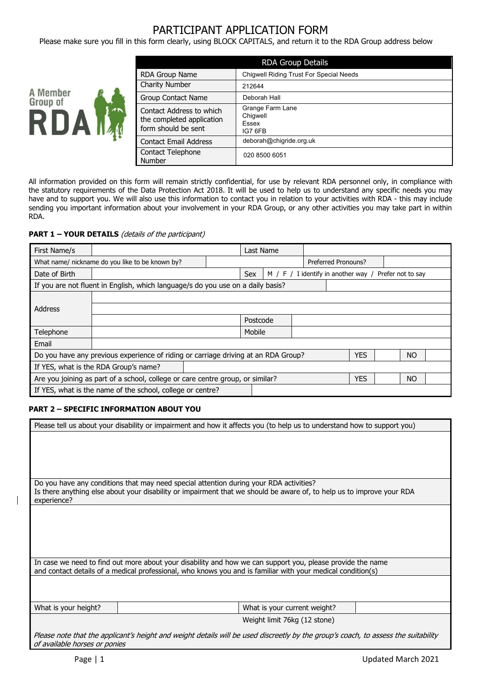# PARTICIPANT APPLICATION FORM

Please make sure you fill in this form clearly, using BLOCK CAPITALS, and return it to the RDA Group address below



| <b>RDA Group Details</b>                                                     |                                                         |  |  |  |
|------------------------------------------------------------------------------|---------------------------------------------------------|--|--|--|
| <b>RDA Group Name</b>                                                        | <b>Chiqwell Riding Trust For Special Needs</b>          |  |  |  |
| <b>Charity Number</b>                                                        | 212644                                                  |  |  |  |
| Group Contact Name                                                           | Deborah Hall                                            |  |  |  |
| Contact Address to which<br>the completed application<br>form should be sent | Grange Farm Lane<br>Chigwell<br><b>Fssex</b><br>IG7 6FB |  |  |  |
| <b>Contact Email Address</b>                                                 | deborah@chigride.org.uk                                 |  |  |  |
| <b>Contact Telephone</b><br>Number                                           | 020 8500 6051                                           |  |  |  |

All information provided on this form will remain strictly confidential, for use by relevant RDA personnel only, in compliance with the statutory requirements of the Data Protection Act 2018. It will be used to help us to understand any specific needs you may have and to support you. We will also use this information to contact you in relation to your activities with RDA - this may include sending you important information about your involvement in your RDA Group, or any other activities you may take part in within RDA.

### **PART 1 – YOUR DETAILS** (details of the participant)

| First Name/s                                                                                                  |                                                 |  | Last Name |  |                                                       |  |  |
|---------------------------------------------------------------------------------------------------------------|-------------------------------------------------|--|-----------|--|-------------------------------------------------------|--|--|
|                                                                                                               | What name/ nickname do you like to be known by? |  |           |  | Preferred Pronouns?                                   |  |  |
| Date of Birth                                                                                                 |                                                 |  | Sex       |  | M / F / I identify in another way / Prefer not to say |  |  |
| If you are not fluent in English, which language/s do you use on a daily basis?                               |                                                 |  |           |  |                                                       |  |  |
|                                                                                                               |                                                 |  |           |  |                                                       |  |  |
| Address                                                                                                       |                                                 |  |           |  |                                                       |  |  |
|                                                                                                               |                                                 |  | Postcode  |  |                                                       |  |  |
| Telephone                                                                                                     |                                                 |  | Mobile    |  |                                                       |  |  |
| Email                                                                                                         |                                                 |  |           |  |                                                       |  |  |
| <b>YES</b><br><b>NO</b><br>Do you have any previous experience of riding or carriage driving at an RDA Group? |                                                 |  |           |  |                                                       |  |  |
| If YES, what is the RDA Group's name?                                                                         |                                                 |  |           |  |                                                       |  |  |
| Are you joining as part of a school, college or care centre group, or similar?<br><b>YES</b><br><b>NO</b>     |                                                 |  |           |  |                                                       |  |  |
| If YES, what is the name of the school, college or centre?                                                    |                                                 |  |           |  |                                                       |  |  |

## **PART 2 – SPECIFIC INFORMATION ABOUT YOU**

|                                                                                                                                                                                                                                | Please tell us about your disability or impairment and how it affects you (to help us to understand how to support you)            |                              |  |  |
|--------------------------------------------------------------------------------------------------------------------------------------------------------------------------------------------------------------------------------|------------------------------------------------------------------------------------------------------------------------------------|------------------------------|--|--|
|                                                                                                                                                                                                                                |                                                                                                                                    |                              |  |  |
|                                                                                                                                                                                                                                |                                                                                                                                    |                              |  |  |
|                                                                                                                                                                                                                                |                                                                                                                                    |                              |  |  |
|                                                                                                                                                                                                                                |                                                                                                                                    |                              |  |  |
| Do you have any conditions that may need special attention during your RDA activities?<br>Is there anything else about your disability or impairment that we should be aware of, to help us to improve your RDA<br>experience? |                                                                                                                                    |                              |  |  |
|                                                                                                                                                                                                                                |                                                                                                                                    |                              |  |  |
|                                                                                                                                                                                                                                |                                                                                                                                    |                              |  |  |
|                                                                                                                                                                                                                                |                                                                                                                                    |                              |  |  |
|                                                                                                                                                                                                                                |                                                                                                                                    |                              |  |  |
| In case we need to find out more about your disability and how we can support you, please provide the name<br>and contact details of a medical professional, who knows you and is familiar with your medical condition(s)      |                                                                                                                                    |                              |  |  |
|                                                                                                                                                                                                                                |                                                                                                                                    |                              |  |  |
|                                                                                                                                                                                                                                |                                                                                                                                    |                              |  |  |
| What is your height?                                                                                                                                                                                                           |                                                                                                                                    | What is your current weight? |  |  |
|                                                                                                                                                                                                                                |                                                                                                                                    | Weight limit 76kg (12 stone) |  |  |
| of available horses or ponies                                                                                                                                                                                                  | Please note that the applicant's height and weight details will be used discreetly by the group's coach, to assess the suitability |                              |  |  |